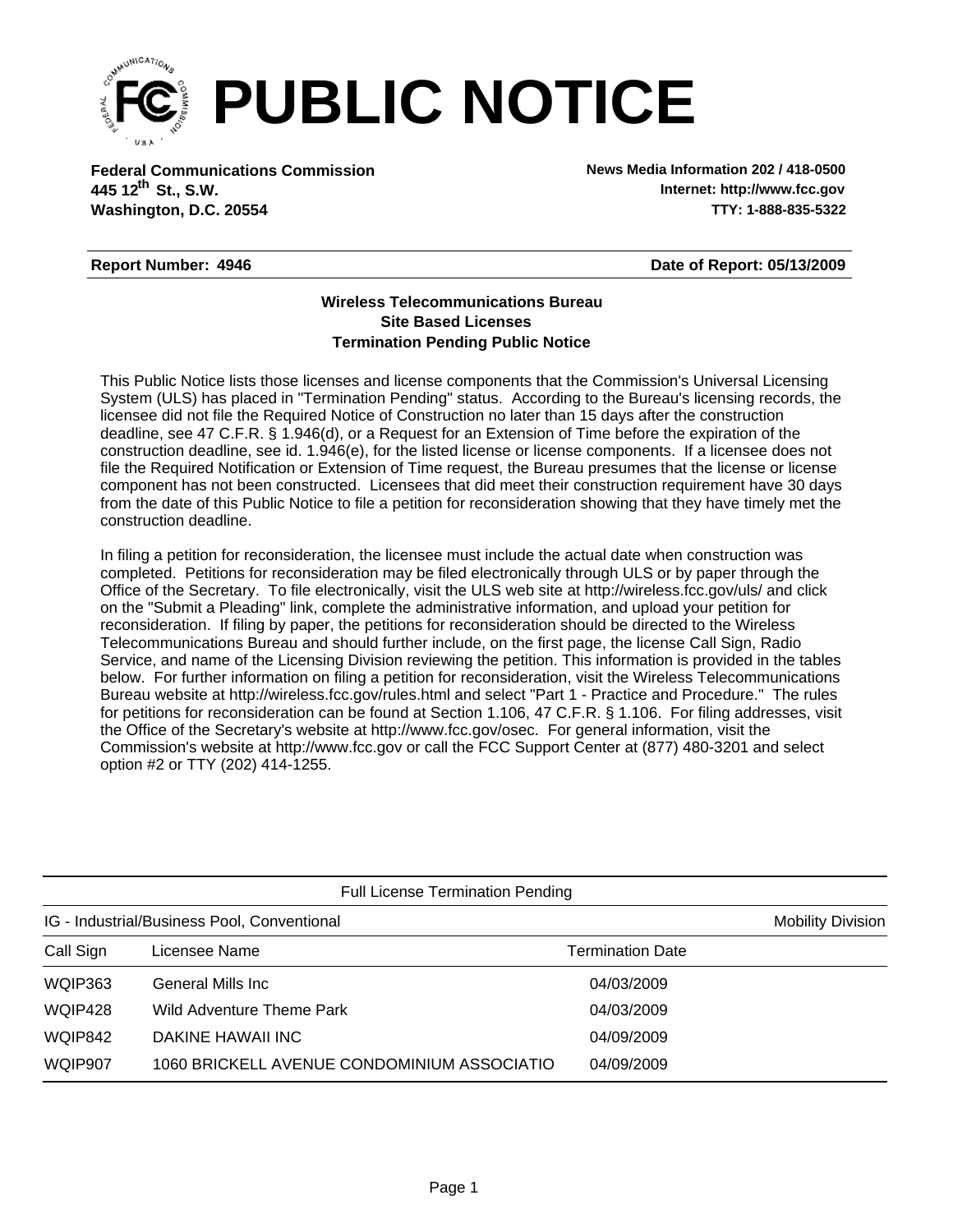

**Federal Communications Commission News Media Information 202 / 418-0500 Washington, D.C. 20554 TTY: 1-888-835-5322 445 12<sup>th</sup> St., S.W.** 

**Internet: http://www.fcc.gov**

## **Report Number: 4946**

**Date of Report: 05/13/2009**

## **Wireless Telecommunications Bureau Site Based Licenses Termination Pending Public Notice**

This Public Notice lists those licenses and license components that the Commission's Universal Licensing System (ULS) has placed in "Termination Pending" status. According to the Bureau's licensing records, the licensee did not file the Required Notice of Construction no later than 15 days after the construction deadline, see 47 C.F.R. § 1.946(d), or a Request for an Extension of Time before the expiration of the construction deadline, see id. 1.946(e), for the listed license or license components. If a licensee does not file the Required Notification or Extension of Time request, the Bureau presumes that the license or license component has not been constructed. Licensees that did meet their construction requirement have 30 days from the date of this Public Notice to file a petition for reconsideration showing that they have timely met the construction deadline.

In filing a petition for reconsideration, the licensee must include the actual date when construction was completed. Petitions for reconsideration may be filed electronically through ULS or by paper through the Office of the Secretary. To file electronically, visit the ULS web site at http://wireless.fcc.gov/uls/ and click on the "Submit a Pleading" link, complete the administrative information, and upload your petition for reconsideration. If filing by paper, the petitions for reconsideration should be directed to the Wireless Telecommunications Bureau and should further include, on the first page, the license Call Sign, Radio Service, and name of the Licensing Division reviewing the petition. This information is provided in the tables below. For further information on filing a petition for reconsideration, visit the Wireless Telecommunications Bureau website at http://wireless.fcc.gov/rules.html and select "Part 1 - Practice and Procedure." The rules for petitions for reconsideration can be found at Section 1.106, 47 C.F.R. § 1.106. For filing addresses, visit the Office of the Secretary's website at http://www.fcc.gov/osec. For general information, visit the Commission's website at http://www.fcc.gov or call the FCC Support Center at (877) 480-3201 and select option #2 or TTY (202) 414-1255.

| <b>Full License Termination Pending</b>     |                                             |                  |                          |  |  |
|---------------------------------------------|---------------------------------------------|------------------|--------------------------|--|--|
| IG - Industrial/Business Pool, Conventional |                                             |                  | <b>Mobility Division</b> |  |  |
| Call Sign                                   | Licensee Name                               | Termination Date |                          |  |  |
| WQIP363                                     | General Mills Inc                           | 04/03/2009       |                          |  |  |
| WQIP428                                     | Wild Adventure Theme Park                   | 04/03/2009       |                          |  |  |
| WQIP842                                     | DAKINE HAWAII INC                           | 04/09/2009       |                          |  |  |
| WQIP907                                     | 1060 BRICKELL AVENUE CONDOMINIUM ASSOCIATIO | 04/09/2009       |                          |  |  |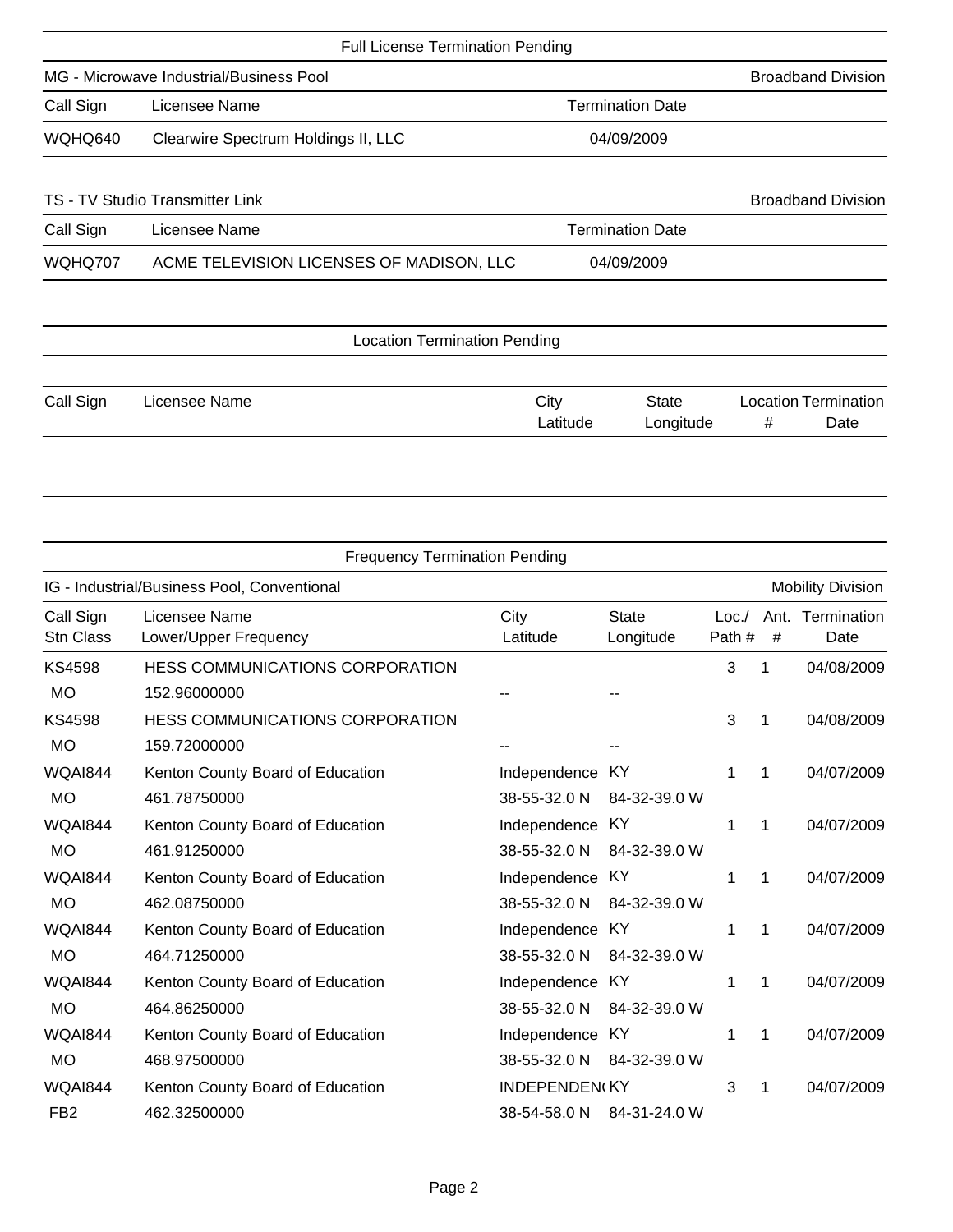|           | <b>Full License Termination Pending</b>  |                         |                           |   |                                     |  |  |
|-----------|------------------------------------------|-------------------------|---------------------------|---|-------------------------------------|--|--|
|           | MG - Microwave Industrial/Business Pool  |                         |                           |   | <b>Broadband Division</b>           |  |  |
| Call Sign | Licensee Name                            | <b>Termination Date</b> |                           |   |                                     |  |  |
| WQHQ640   | Clearwire Spectrum Holdings II, LLC      | 04/09/2009              |                           |   |                                     |  |  |
|           | TS - TV Studio Transmitter Link          |                         |                           |   | <b>Broadband Division</b>           |  |  |
| Call Sign | Licensee Name                            | <b>Termination Date</b> |                           |   |                                     |  |  |
| WQHQ707   | ACME TELEVISION LICENSES OF MADISON, LLC | 04/09/2009              |                           |   |                                     |  |  |
|           | <b>Location Termination Pending</b>      |                         |                           |   |                                     |  |  |
| Call Sign | Licensee Name                            | City<br>Latitude        | <b>State</b><br>Longitude | # | <b>Location Termination</b><br>Date |  |  |

| <b>Frequency Termination Pending</b>        |                                        |                           |                           |                |                          |                          |
|---------------------------------------------|----------------------------------------|---------------------------|---------------------------|----------------|--------------------------|--------------------------|
| IG - Industrial/Business Pool, Conventional |                                        |                           |                           |                | <b>Mobility Division</b> |                          |
| Call Sign<br><b>Stn Class</b>               | Licensee Name<br>Lower/Upper Frequency | City<br>Latitude          | <b>State</b><br>Longitude | Loc/<br>Path # | #                        | Ant. Termination<br>Date |
| <b>KS4598</b>                               | <b>HESS COMMUNICATIONS CORPORATION</b> |                           |                           | 3              | 1                        | 04/08/2009               |
| <b>MO</b>                                   | 152.96000000                           |                           |                           |                |                          |                          |
| <b>KS4598</b>                               | <b>HESS COMMUNICATIONS CORPORATION</b> |                           |                           | 3              | 1                        | 04/08/2009               |
| <b>MO</b>                                   | 159.72000000                           |                           |                           |                |                          |                          |
| WQAI844                                     | Kenton County Board of Education       | Independence KY           |                           | 1              | 1                        | 04/07/2009               |
| <b>MO</b>                                   | 461.78750000                           | 38-55-32.0 N              | 84-32-39.0 W              |                |                          |                          |
| WQAI844                                     | Kenton County Board of Education       | Independence KY           |                           | 1              | 1                        | 04/07/2009               |
| <b>MO</b>                                   | 461.91250000                           | 38-55-32.0 N              | 84-32-39.0 W              |                |                          |                          |
| WQAI844                                     | Kenton County Board of Education       | Independence KY           |                           | 1              | 1                        | 04/07/2009               |
| <b>MO</b>                                   | 462.08750000                           | 38-55-32.0 N              | 84-32-39.0 W              |                |                          |                          |
| WQAI844                                     | Kenton County Board of Education       | Independence KY           |                           | 1              | 1                        | 04/07/2009               |
| <b>MO</b>                                   | 464.71250000                           | 38-55-32.0 N              | 84-32-39.0 W              |                |                          |                          |
| <b>WQAI844</b>                              | Kenton County Board of Education       | Independence KY           |                           | 1              | 1                        | 04/07/2009               |
| <b>MO</b>                                   | 464.86250000                           | 38-55-32.0 N              | 84-32-39.0 W              |                |                          |                          |
| WQAI844                                     | Kenton County Board of Education       | Independence KY           |                           | 1              | 1                        | 04/07/2009               |
| <b>MO</b>                                   | 468.97500000                           | 38-55-32.0 N              | 84-32-39.0 W              |                |                          |                          |
| WQAI844                                     | Kenton County Board of Education       | <b>INDEPENDEN(KY</b>      |                           | 3              | 1                        | 04/07/2009               |
| FB <sub>2</sub>                             | 462.32500000                           | 38-54-58.0 N 84-31-24.0 W |                           |                |                          |                          |